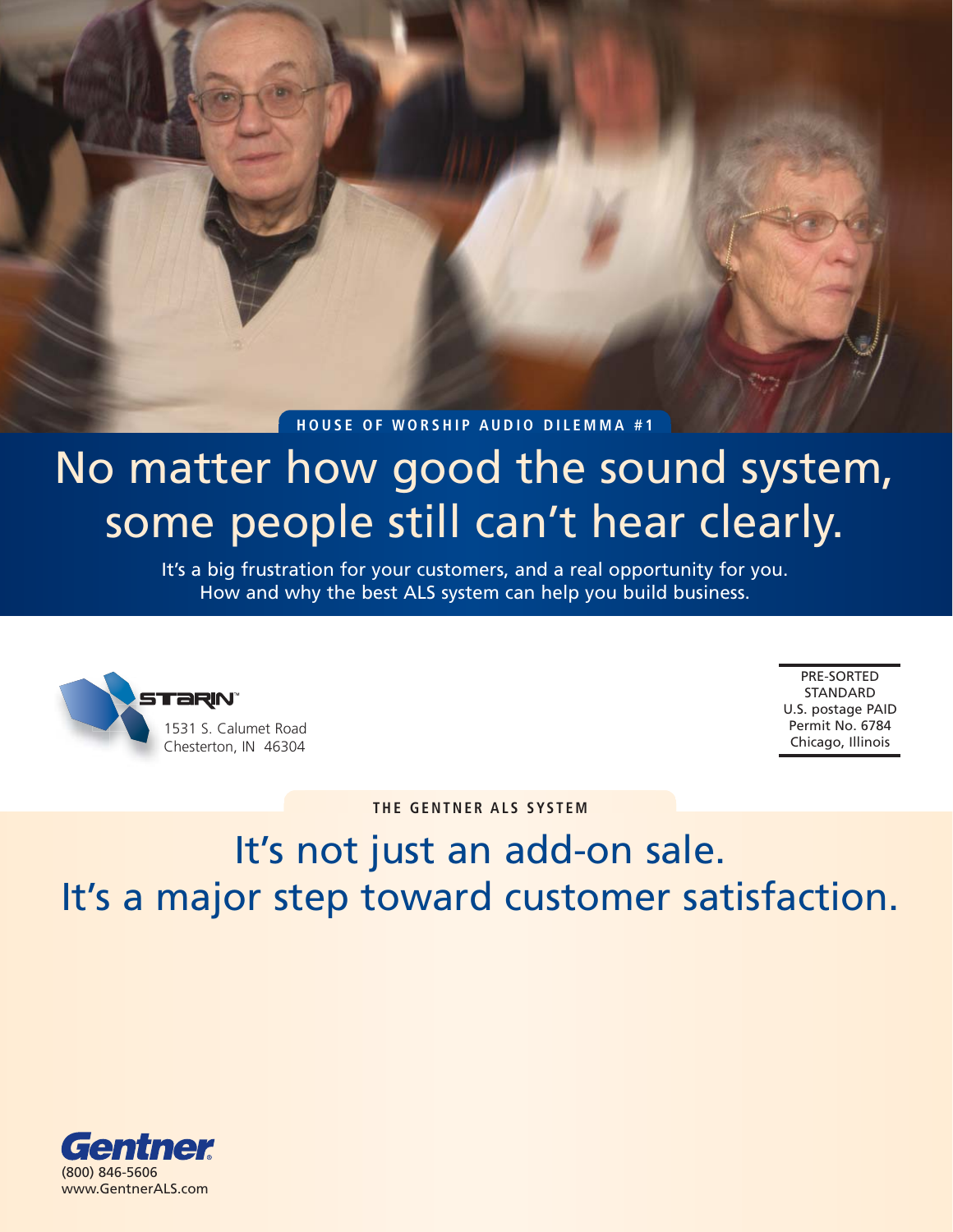#### **HOUSE OF WORSHIP AUDIO DILEMMA #1**

# No matter how good the sound system, some people still can't hear clearly.

It's a big frustration for your customers, and a real opportunity for you. How and why the best ALS system can help you build business.



PRE-SORTED STANDARD U.S. postage PAID Permit No. 6784 Chicago, Illinois

**THE GENTNER ALS SYSTEM**

## It's not just an add-on sale. It's a major step toward customer satisfaction.